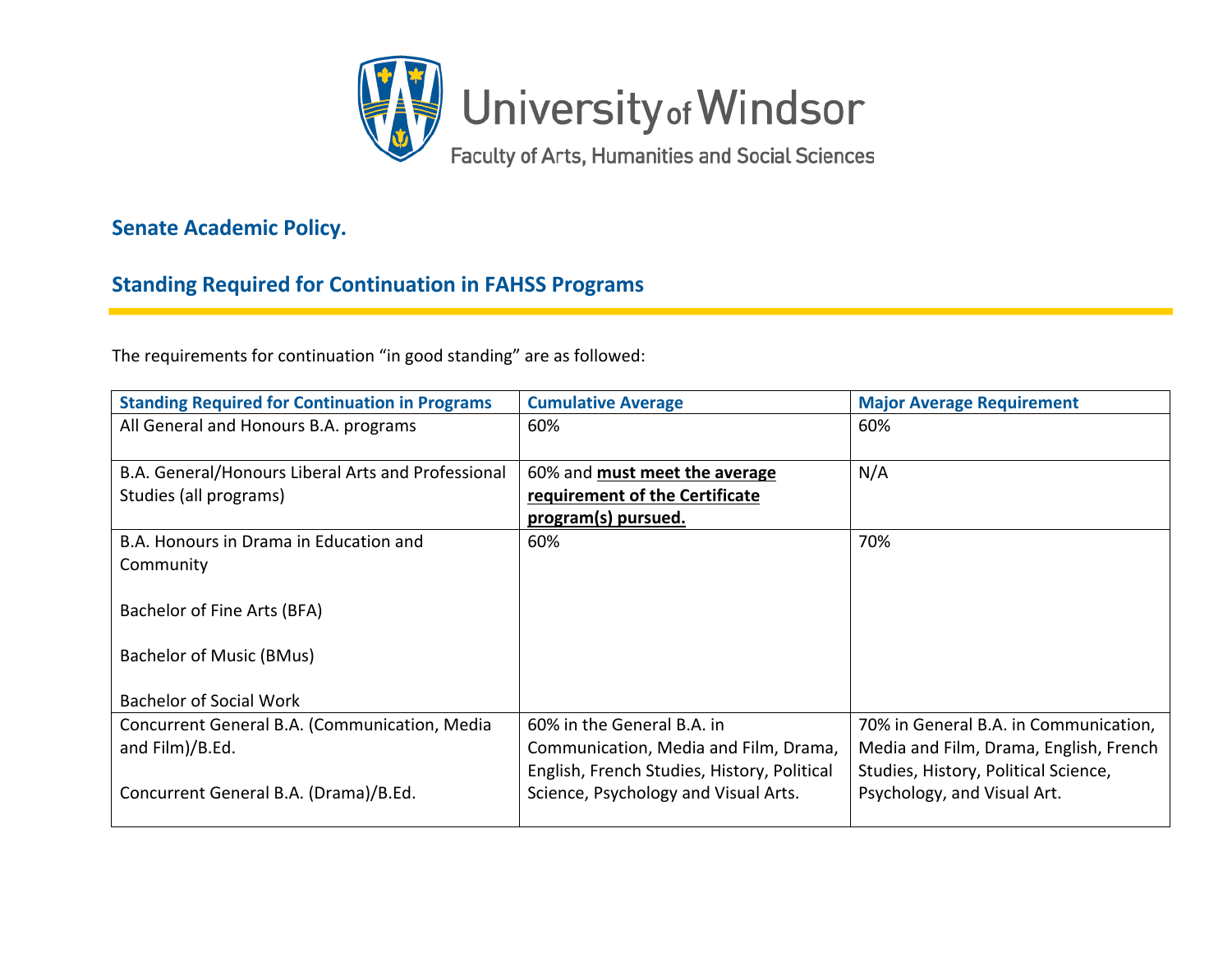

## **Senate Academic Policy.**

## **Standing Required for Continuation in FAHSS Programs**

The requirements for continuation "in good standing" are as followed:

| <b>Standing Required for Continuation in Programs</b> | <b>Cumulative Average</b>                   | <b>Major Average Requirement</b>       |
|-------------------------------------------------------|---------------------------------------------|----------------------------------------|
| All General and Honours B.A. programs                 | 60%                                         | 60%                                    |
|                                                       |                                             |                                        |
| B.A. General/Honours Liberal Arts and Professional    | 60% and must meet the average               | N/A                                    |
| Studies (all programs)                                | requirement of the Certificate              |                                        |
|                                                       | program(s) pursued.                         |                                        |
| B.A. Honours in Drama in Education and                | 60%                                         | 70%                                    |
| Community                                             |                                             |                                        |
|                                                       |                                             |                                        |
| Bachelor of Fine Arts (BFA)                           |                                             |                                        |
|                                                       |                                             |                                        |
| Bachelor of Music (BMus)                              |                                             |                                        |
|                                                       |                                             |                                        |
| Bachelor of Social Work                               |                                             |                                        |
| Concurrent General B.A. (Communication, Media         | 60% in the General B.A. in                  | 70% in General B.A. in Communication,  |
| and Film)/B.Ed.                                       | Communication, Media and Film, Drama,       | Media and Film, Drama, English, French |
|                                                       | English, French Studies, History, Political | Studies, History, Political Science,   |
| Concurrent General B.A. (Drama)/B.Ed.                 | Science, Psychology and Visual Arts.        | Psychology, and Visual Art.            |
|                                                       |                                             |                                        |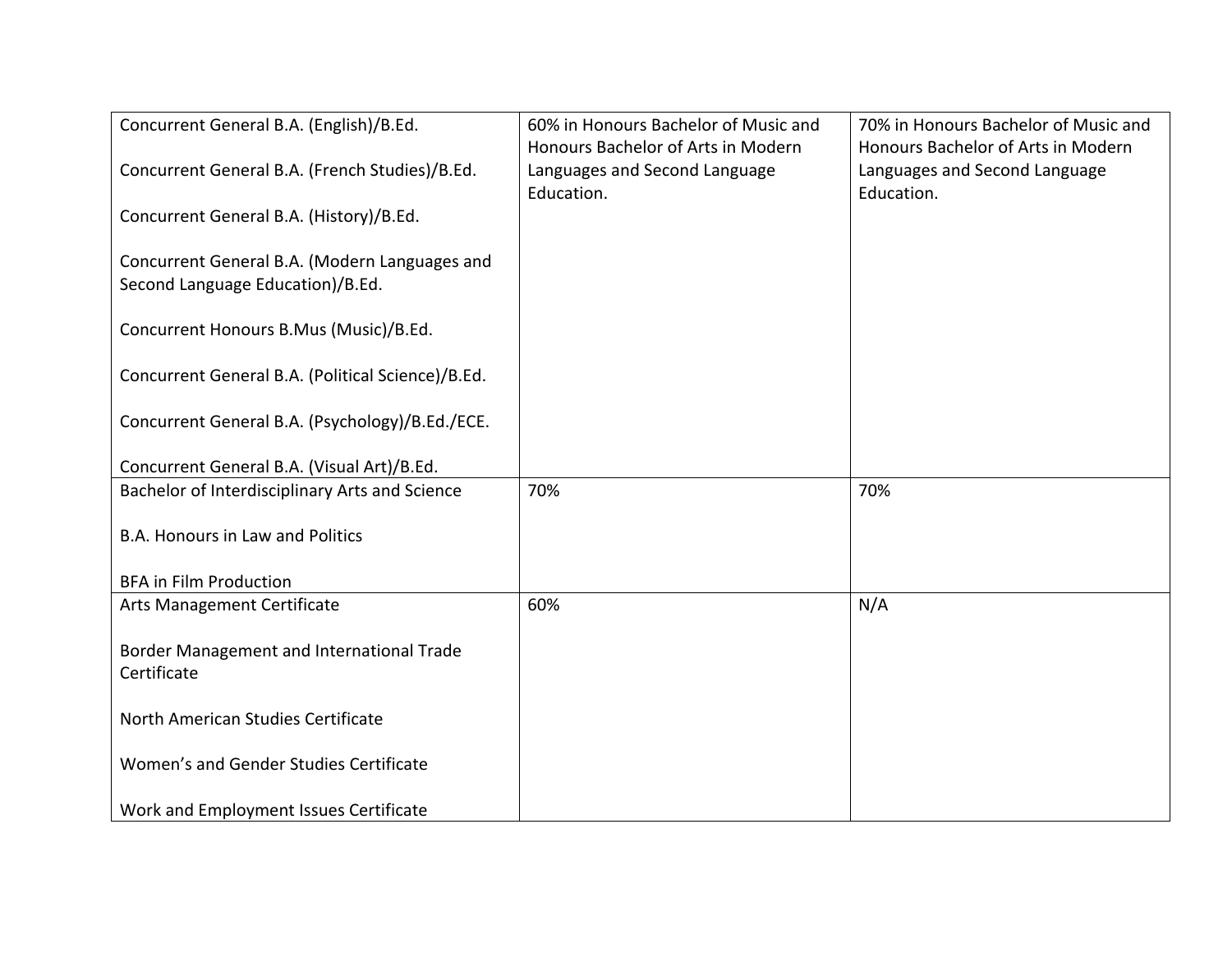| Concurrent General B.A. (English)/B.Ed.           | 60% in Honours Bachelor of Music and                                | 70% in Honours Bachelor of Music and                                |
|---------------------------------------------------|---------------------------------------------------------------------|---------------------------------------------------------------------|
| Concurrent General B.A. (French Studies)/B.Ed.    | Honours Bachelor of Arts in Modern<br>Languages and Second Language | Honours Bachelor of Arts in Modern<br>Languages and Second Language |
|                                                   | Education.                                                          | Education.                                                          |
| Concurrent General B.A. (History)/B.Ed.           |                                                                     |                                                                     |
| Concurrent General B.A. (Modern Languages and     |                                                                     |                                                                     |
| Second Language Education)/B.Ed.                  |                                                                     |                                                                     |
|                                                   |                                                                     |                                                                     |
| Concurrent Honours B.Mus (Music)/B.Ed.            |                                                                     |                                                                     |
| Concurrent General B.A. (Political Science)/B.Ed. |                                                                     |                                                                     |
|                                                   |                                                                     |                                                                     |
| Concurrent General B.A. (Psychology)/B.Ed./ECE.   |                                                                     |                                                                     |
| Concurrent General B.A. (Visual Art)/B.Ed.        |                                                                     |                                                                     |
| Bachelor of Interdisciplinary Arts and Science    | 70%                                                                 | 70%                                                                 |
| <b>B.A. Honours in Law and Politics</b>           |                                                                     |                                                                     |
|                                                   |                                                                     |                                                                     |
| <b>BFA in Film Production</b>                     |                                                                     |                                                                     |
| Arts Management Certificate                       | 60%                                                                 | N/A                                                                 |
| Border Management and International Trade         |                                                                     |                                                                     |
| Certificate                                       |                                                                     |                                                                     |
|                                                   |                                                                     |                                                                     |
| North American Studies Certificate                |                                                                     |                                                                     |
| Women's and Gender Studies Certificate            |                                                                     |                                                                     |
|                                                   |                                                                     |                                                                     |
| Work and Employment Issues Certificate            |                                                                     |                                                                     |